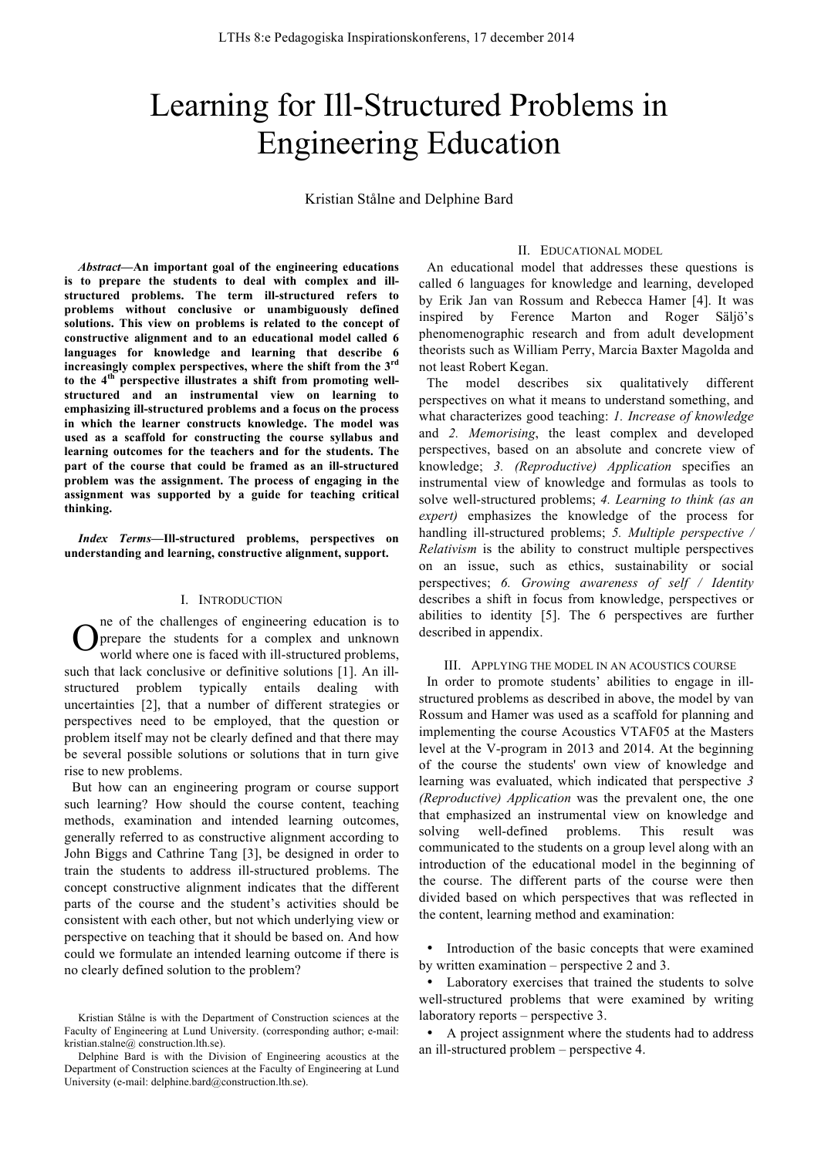# Learning for Ill-Structured Problems in Engineering Education

Kristian Stålne and Delphine Bard

*Abstract***—An important goal of the engineering educations is to prepare the students to deal with complex and illstructured problems. The term ill-structured refers to problems without conclusive or unambiguously defined solutions. This view on problems is related to the concept of constructive alignment and to an educational model called 6 languages for knowledge and learning that describe 6 increasingly complex perspectives, where the shift from the 3rd to the 4th perspective illustrates a shift from promoting wellstructured and an instrumental view on learning to emphasizing ill-structured problems and a focus on the process in which the learner constructs knowledge. The model was used as a scaffold for constructing the course syllabus and learning outcomes for the teachers and for the students. The part of the course that could be framed as an ill-structured problem was the assignment. The process of engaging in the assignment was supported by a guide for teaching critical thinking.**

*Index Terms***—Ill-structured problems, perspectives on understanding and learning, constructive alignment, support.**

#### I. INTRODUCTION

ne of the challenges of engineering education is to prepare the students for a complex and unknown world where one is faced with ill-structured problems, such that lack conclusive or definitive solutions [1]. An illstructured problem typically entails dealing with uncertainties [2], that a number of different strategies or perspectives need to be employed, that the question or problem itself may not be clearly defined and that there may be several possible solutions or solutions that in turn give rise to new problems. O

But how can an engineering program or course support such learning? How should the course content, teaching methods, examination and intended learning outcomes, generally referred to as constructive alignment according to John Biggs and Cathrine Tang [3], be designed in order to train the students to address ill-structured problems. The concept constructive alignment indicates that the different parts of the course and the student's activities should be consistent with each other, but not which underlying view or perspective on teaching that it should be based on. And how could we formulate an intended learning outcome if there is no clearly defined solution to the problem?

#### II. EDUCATIONAL MODEL

An educational model that addresses these questions is called 6 languages for knowledge and learning, developed by Erik Jan van Rossum and Rebecca Hamer [4]. It was inspired by Ference Marton and Roger Säljö's phenomenographic research and from adult development theorists such as William Perry, Marcia Baxter Magolda and not least Robert Kegan.

The model describes six qualitatively different perspectives on what it means to understand something, and what characterizes good teaching: *1. Increase of knowledge* and *2. Memorising*, the least complex and developed perspectives, based on an absolute and concrete view of knowledge; *3. (Reproductive) Application* specifies an instrumental view of knowledge and formulas as tools to solve well-structured problems; *4. Learning to think (as an expert)* emphasizes the knowledge of the process for handling ill-structured problems; *5. Multiple perspective / Relativism* is the ability to construct multiple perspectives on an issue, such as ethics, sustainability or social perspectives; *6. Growing awareness of self / Identity* describes a shift in focus from knowledge, perspectives or abilities to identity [5]. The 6 perspectives are further described in appendix.

#### III. APPLYING THE MODEL IN AN ACOUSTICS COURSE

In order to promote students' abilities to engage in illstructured problems as described in above, the model by van Rossum and Hamer was used as a scaffold for planning and implementing the course Acoustics VTAF05 at the Masters level at the V-program in 2013 and 2014. At the beginning of the course the students' own view of knowledge and learning was evaluated, which indicated that perspective *3 (Reproductive) Application* was the prevalent one, the one that emphasized an instrumental view on knowledge and solving well-defined problems. This result was communicated to the students on a group level along with an introduction of the educational model in the beginning of the course. The different parts of the course were then divided based on which perspectives that was reflected in the content, learning method and examination:

Introduction of the basic concepts that were examined by written examination – perspective 2 and 3.

Kristian Stålne is with the Department of Construction sciences at the Faculty of Engineering at Lund University. (corresponding author; e-mail: kristian.stalne@ construction.lth.se).

Delphine Bard is with the Division of Engineering acoustics at the Department of Construction sciences at the Faculty of Engineering at Lund University (e-mail: delphine.bard@construction.lth.se).

<sup>•</sup> Laboratory exercises that trained the students to solve well-structured problems that were examined by writing laboratory reports – perspective 3.

<sup>•</sup> A project assignment where the students had to address an ill-structured problem – perspective 4.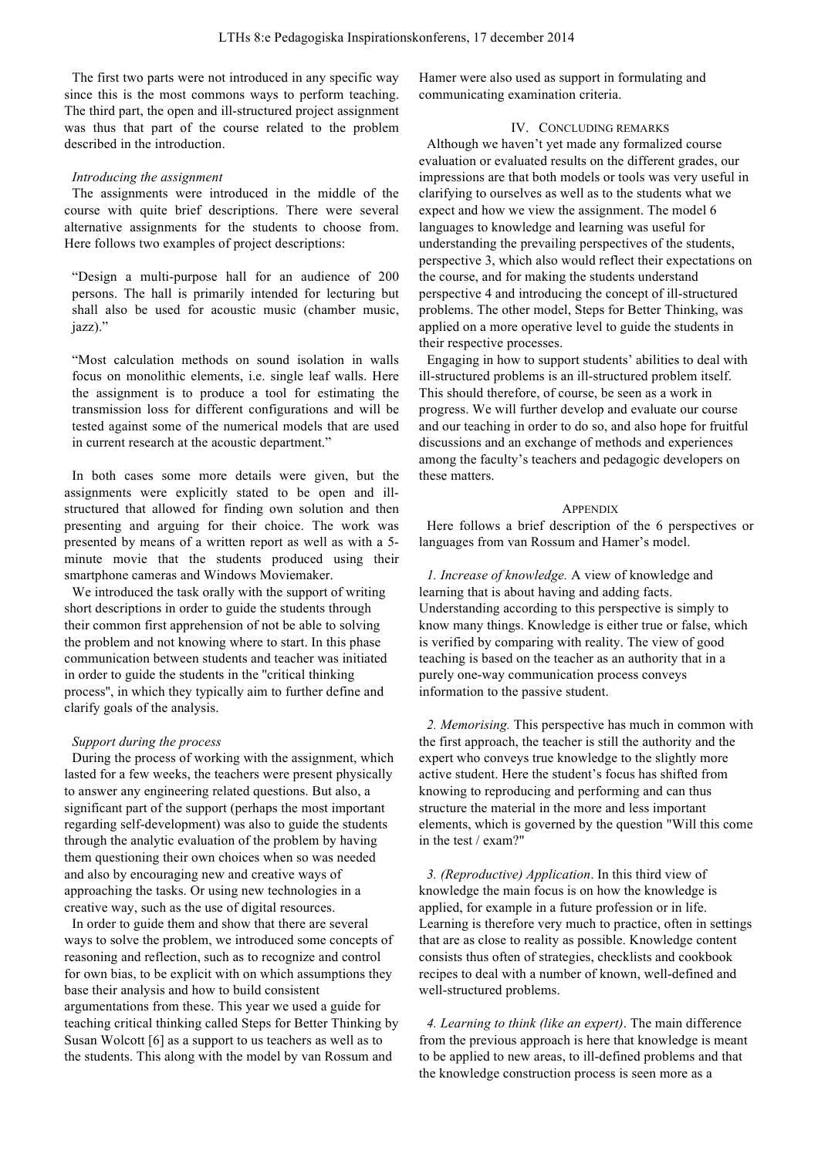The first two parts were not introduced in any specific way since this is the most commons ways to perform teaching. The third part, the open and ill-structured project assignment was thus that part of the course related to the problem described in the introduction.

#### *Introducing the assignment*

The assignments were introduced in the middle of the course with quite brief descriptions. There were several alternative assignments for the students to choose from. Here follows two examples of project descriptions:

"Design a multi-purpose hall for an audience of 200 persons. The hall is primarily intended for lecturing but shall also be used for acoustic music (chamber music, iazz)"

"Most calculation methods on sound isolation in walls focus on monolithic elements, i.e. single leaf walls. Here the assignment is to produce a tool for estimating the transmission loss for different configurations and will be tested against some of the numerical models that are used in current research at the acoustic department."

In both cases some more details were given, but the assignments were explicitly stated to be open and illstructured that allowed for finding own solution and then presenting and arguing for their choice. The work was presented by means of a written report as well as with a 5 minute movie that the students produced using their smartphone cameras and Windows Moviemaker.

We introduced the task orally with the support of writing short descriptions in order to guide the students through their common first apprehension of not be able to solving the problem and not knowing where to start. In this phase communication between students and teacher was initiated in order to guide the students in the ''critical thinking process'', in which they typically aim to further define and clarify goals of the analysis.

### *Support during the process*

During the process of working with the assignment, which lasted for a few weeks, the teachers were present physically to answer any engineering related questions. But also, a significant part of the support (perhaps the most important regarding self-development) was also to guide the students through the analytic evaluation of the problem by having them questioning their own choices when so was needed and also by encouraging new and creative ways of approaching the tasks. Or using new technologies in a creative way, such as the use of digital resources.

In order to guide them and show that there are several ways to solve the problem, we introduced some concepts of reasoning and reflection, such as to recognize and control for own bias, to be explicit with on which assumptions they base their analysis and how to build consistent argumentations from these. This year we used a guide for teaching critical thinking called Steps for Better Thinking by Susan Wolcott [6] as a support to us teachers as well as to the students. This along with the model by van Rossum and

Hamer were also used as support in formulating and communicating examination criteria.

## IV. CONCLUDING REMARKS

Although we haven't yet made any formalized course evaluation or evaluated results on the different grades, our impressions are that both models or tools was very useful in clarifying to ourselves as well as to the students what we expect and how we view the assignment. The model 6 languages to knowledge and learning was useful for understanding the prevailing perspectives of the students, perspective 3, which also would reflect their expectations on the course, and for making the students understand perspective 4 and introducing the concept of ill-structured problems. The other model, Steps for Better Thinking, was applied on a more operative level to guide the students in their respective processes.

Engaging in how to support students' abilities to deal with ill-structured problems is an ill-structured problem itself. This should therefore, of course, be seen as a work in progress. We will further develop and evaluate our course and our teaching in order to do so, and also hope for fruitful discussions and an exchange of methods and experiences among the faculty's teachers and pedagogic developers on these matters.

#### **APPENDIX**

Here follows a brief description of the 6 perspectives or languages from van Rossum and Hamer's model.

*1. Increase of knowledge.* A view of knowledge and learning that is about having and adding facts. Understanding according to this perspective is simply to know many things. Knowledge is either true or false, which is verified by comparing with reality. The view of good teaching is based on the teacher as an authority that in a purely one-way communication process conveys information to the passive student.

*2. Memorising.* This perspective has much in common with the first approach, the teacher is still the authority and the expert who conveys true knowledge to the slightly more active student. Here the student's focus has shifted from knowing to reproducing and performing and can thus structure the material in the more and less important elements, which is governed by the question "Will this come in the test / exam?"

*3. (Reproductive) Application*. In this third view of knowledge the main focus is on how the knowledge is applied, for example in a future profession or in life. Learning is therefore very much to practice, often in settings that are as close to reality as possible. Knowledge content consists thus often of strategies, checklists and cookbook recipes to deal with a number of known, well-defined and well-structured problems.

*4. Learning to think (like an expert)*. The main difference from the previous approach is here that knowledge is meant to be applied to new areas, to ill-defined problems and that the knowledge construction process is seen more as a